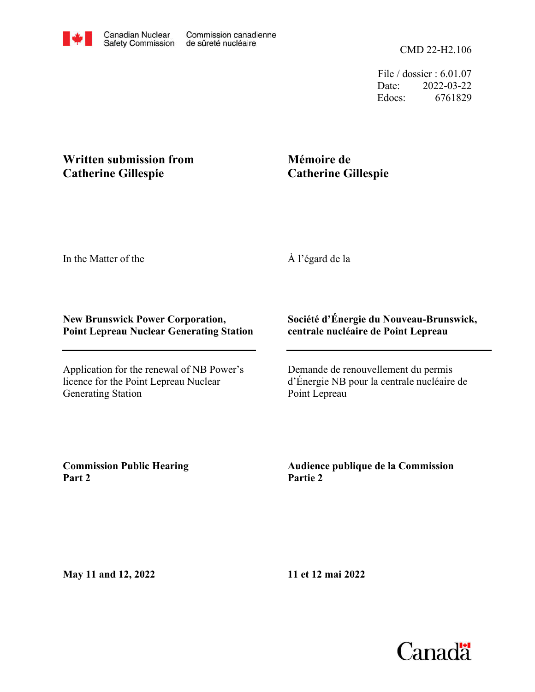File / dossier : 6.01.07 Date: 2022-03-22 Edocs: 6761829

## **Written submission from Catherine Gillespie**

## **Mémoire de Catherine Gillespie**

In the Matter of the

À l'égard de la

## **New Brunswick Power Corporation, Point Lepreau Nuclear Generating Station**

Application for the renewal of NB Power's licence for the Point Lepreau Nuclear Generating Station

## **Société d'Énergie du Nouveau-Brunswick, centrale nucléaire de Point Lepreau**

Demande de renouvellement du permis d'Énergie NB pour la centrale nucléaire de Point Lepreau

**Commission Public Hearing Part 2**

**Audience publique de la Commission Partie 2**

**May 11 and 12, 2022**

**11 et 12 mai 2022**

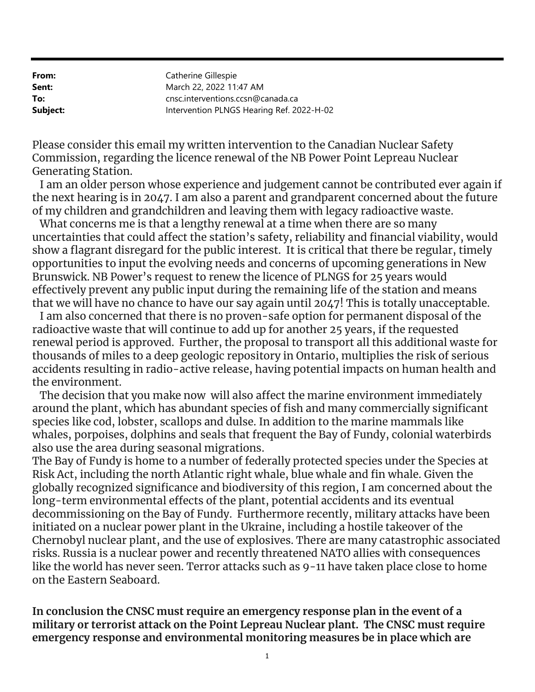| Catherine Gillespie                       |
|-------------------------------------------|
| March 22, 2022 11:47 AM                   |
| cnsc.interventions.ccsn@canada.ca         |
| Intervention PLNGS Hearing Ref. 2022-H-02 |
|                                           |

Please consider this email my written intervention to the Canadian Nuclear Safety Commission, regarding the licence renewal of the NB Power Point Lepreau Nuclear Generating Station.

 I am an older person whose experience and judgement cannot be contributed ever again if the next hearing is in 2047. I am also a parent and grandparent concerned about the future of my children and grandchildren and leaving them with legacy radioactive waste.

 What concerns me is that a lengthy renewal at a time when there are so many uncertainties that could affect the station's safety, reliability and financial viability, would show a flagrant disregard for the public interest. It is critical that there be regular, timely opportunities to input the evolving needs and concerns of upcoming generations in New Brunswick. NB Power's request to renew the licence of PLNGS for 25 years would effectively prevent any public input during the remaining life of the station and means that we will have no chance to have our say again until 2047! This is totally unacceptable.

 I am also concerned that there is no proven-safe option for permanent disposal of the radioactive waste that will continue to add up for another 25 years, if the requested renewal period is approved. Further, the proposal to transport all this additional waste for thousands of miles to a deep geologic repository in Ontario, multiplies the risk of serious accidents resulting in radio-active release, having potential impacts on human health and the environment.

 The decision that you make now will also affect the marine environment immediately around the plant, which has abundant species of fish and many commercially significant species like cod, lobster, scallops and dulse. In addition to the marine mammals like whales, porpoises, dolphins and seals that frequent the Bay of Fundy, colonial waterbirds also use the area during seasonal migrations.

The Bay of Fundy is home to a number of federally protected species under the Species at Risk Act, including the north Atlantic right whale, blue whale and fin whale. Given the globally recognized significance and biodiversity of this region, I am concerned about the long-term environmental effects of the plant, potential accidents and its eventual decommissioning on the Bay of Fundy. Furthermore recently, military attacks have been initiated on a nuclear power plant in the Ukraine, including a hostile takeover of the Chernobyl nuclear plant, and the use of explosives. There are many catastrophic associated risks. Russia is a nuclear power and recently threatened NATO allies with consequences like the world has never seen. Terror attacks such as 9-11 have taken place close to home on the Eastern Seaboard.

In conclusion the CNSC must require an emergency response plan in the event of a military or terrorist attack on the Point Lepreau Nuclear plant. The CNSC must require emergency response and environmental monitoring measures be in place which are